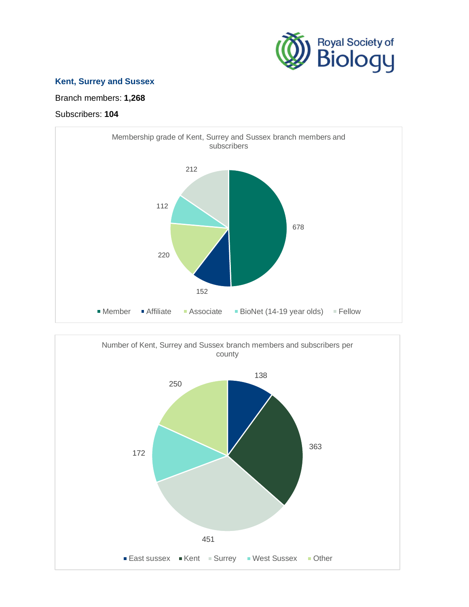

## **Kent, Surrey and Sussex**

Branch members: **1,268**

## Subscribers: **104**



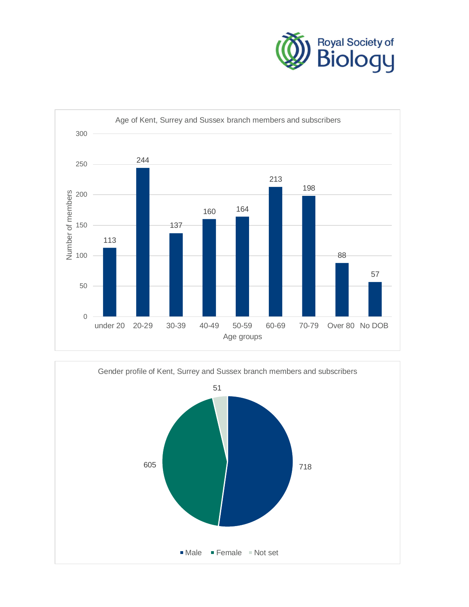



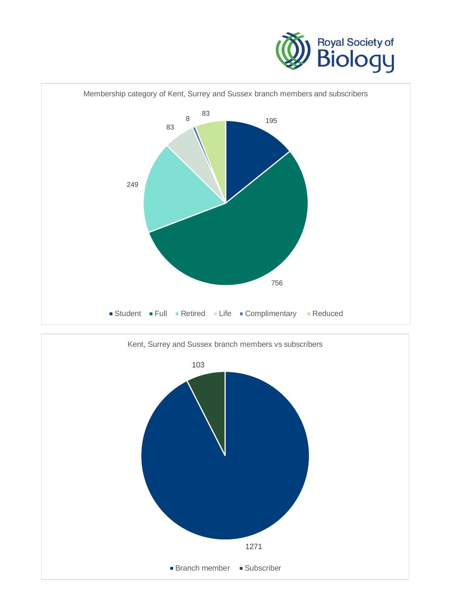



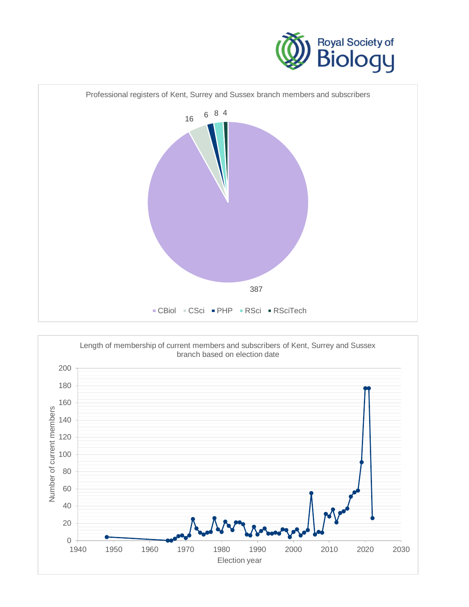